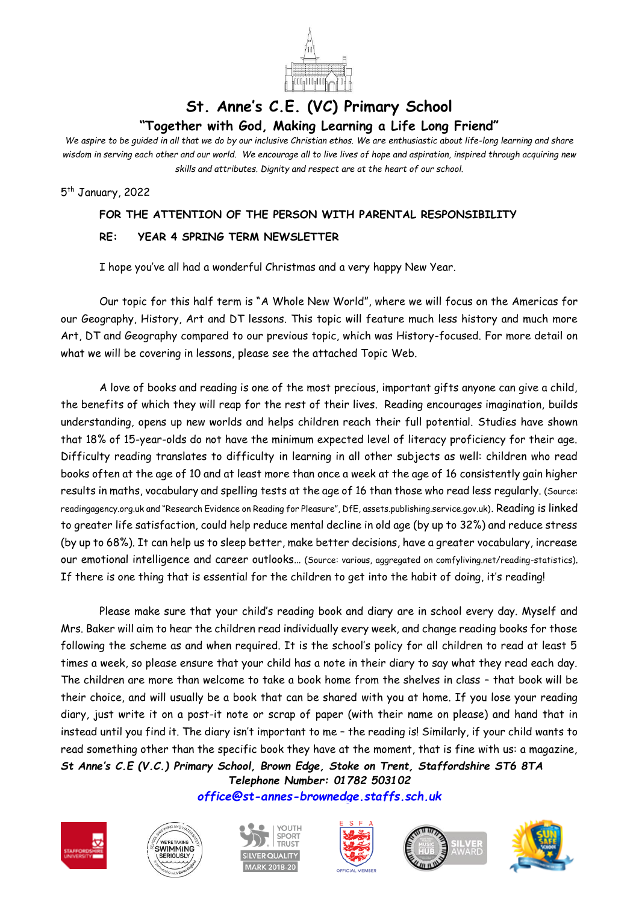

## **St. Anne's C.E. (VC) Primary School "Together with God, Making Learning a Life Long Friend"**

*We aspire to be guided in all that we do by our inclusive Christian ethos. We are enthusiastic about life-long learning and share wisdom in serving each other and our world. We encourage all to live lives of hope and aspiration, inspired through acquiring new skills and attributes. Dignity and respect are at the heart of our school.*

5<sup>th</sup> January, 2022

## **FOR THE ATTENTION OF THE PERSON WITH PARENTAL RESPONSIBILITY**

## **RE: YEAR 4 SPRING TERM NEWSLETTER**

I hope you've all had a wonderful Christmas and a very happy New Year.

Our topic for this half term is "A Whole New World", where we will focus on the Americas for our Geography, History, Art and DT lessons. This topic will feature much less history and much more Art, DT and Geography compared to our previous topic, which was History-focused. For more detail on what we will be covering in lessons, please see the attached Topic Web.

A love of books and reading is one of the most precious, important gifts anyone can give a child, the benefits of which they will reap for the rest of their lives. Reading encourages imagination, builds understanding, opens up new worlds and helps children reach their full potential. Studies have shown that 18% of 15-year-olds do not have the minimum expected level of literacy proficiency for their age. Difficulty reading translates to difficulty in learning in all other subjects as well: children who read books often at the age of 10 and at least more than once a week at the age of 16 consistently gain higher results in maths, vocabulary and spelling tests at the age of 16 than those who read less regularly. (Source: readingagency.org.uk and "Research Evidence on Reading for Pleasure", DfE, assets.publishing.service.gov.uk). Reading is linked to greater life satisfaction, could help reduce mental decline in old age (by up to 32%) and reduce stress (by up to 68%). It can help us to sleep better, make better decisions, have a greater vocabulary, increase our emotional intelligence and career outlooks… (Source: various, aggregated on comfyliving.net/reading-statistics). If there is one thing that is essential for the children to get into the habit of doing, it's reading!

*St Anne's C.E (V.C.) Primary School, Brown Edge, Stoke on Trent, Staffordshire ST6 8TA* Please make sure that your child's reading book and diary are in school every day. Myself and Mrs. Baker will aim to hear the children read individually every week, and change reading books for those following the scheme as and when required. It is the school's policy for all children to read at least 5 times a week, so please ensure that your child has a note in their diary to say what they read each day. The children are more than welcome to take a book home from the shelves in class – that book will be their choice, and will usually be a book that can be shared with you at home. If you lose your reading diary, just write it on a post-it note or scrap of paper (with their name on please) and hand that in instead until you find it. The diary isn't important to me – the reading is! Similarly, if your child wants to read something other than the specific book they have at the moment, that is fine with us: a magazine,

*Telephone Number: 01782 503102 [office@st-annes-brownedge.staffs.sch.uk](mailto:office@st-annes-brownedge.staffs.sch.uk)*











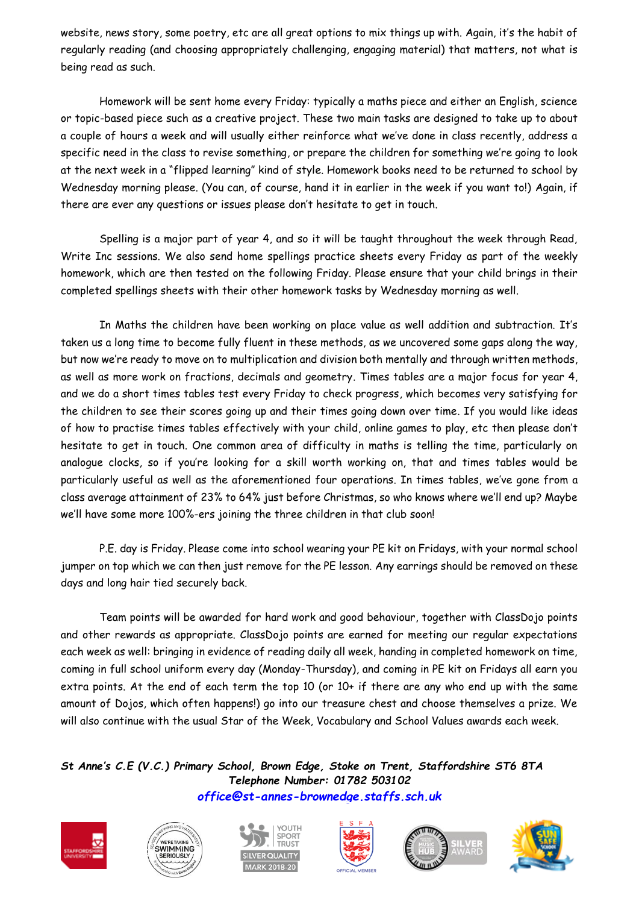website, news story, some poetry, etc are all great options to mix things up with. Again, it's the habit of regularly reading (and choosing appropriately challenging, engaging material) that matters, not what is being read as such.

Homework will be sent home every Friday: typically a maths piece and either an English, science or topic-based piece such as a creative project. These two main tasks are designed to take up to about a couple of hours a week and will usually either reinforce what we've done in class recently, address a specific need in the class to revise something, or prepare the children for something we're going to look at the next week in a "flipped learning" kind of style. Homework books need to be returned to school by Wednesday morning please. (You can, of course, hand it in earlier in the week if you want to!) Again, if there are ever any questions or issues please don't hesitate to get in touch.

Spelling is a major part of year 4, and so it will be taught throughout the week through Read, Write Inc sessions. We also send home spellings practice sheets every Friday as part of the weekly homework, which are then tested on the following Friday. Please ensure that your child brings in their completed spellings sheets with their other homework tasks by Wednesday morning as well.

In Maths the children have been working on place value as well addition and subtraction. It's taken us a long time to become fully fluent in these methods, as we uncovered some gaps along the way, but now we're ready to move on to multiplication and division both mentally and through written methods, as well as more work on fractions, decimals and geometry. Times tables are a major focus for year 4, and we do a short times tables test every Friday to check progress, which becomes very satisfying for the children to see their scores going up and their times going down over time. If you would like ideas of how to practise times tables effectively with your child, online games to play, etc then please don't hesitate to get in touch. One common area of difficulty in maths is telling the time, particularly on analogue clocks, so if you're looking for a skill worth working on, that and times tables would be particularly useful as well as the aforementioned four operations. In times tables, we've gone from a class average attainment of 23% to 64% just before Christmas, so who knows where we'll end up? Maybe we'll have some more 100%-ers joining the three children in that club soon!

P.E. day is Friday. Please come into school wearing your PE kit on Fridays, with your normal school jumper on top which we can then just remove for the PE lesson. Any earrings should be removed on these days and long hair tied securely back.

Team points will be awarded for hard work and good behaviour, together with ClassDojo points and other rewards as appropriate. ClassDojo points are earned for meeting our regular expectations each week as well: bringing in evidence of reading daily all week, handing in completed homework on time, coming in full school uniform every day (Monday-Thursday), and coming in PE kit on Fridays all earn you extra points. At the end of each term the top 10 (or 10+ if there are any who end up with the same amount of Dojos, which often happens!) go into our treasure chest and choose themselves a prize. We will also continue with the usual Star of the Week, Vocabulary and School Values awards each week.

*St Anne's C.E (V.C.) Primary School, Brown Edge, Stoke on Trent, Staffordshire ST6 8TA Telephone Number: 01782 503102 [office@st-annes-brownedge.staffs.sch.uk](mailto:office@st-annes-brownedge.staffs.sch.uk)*